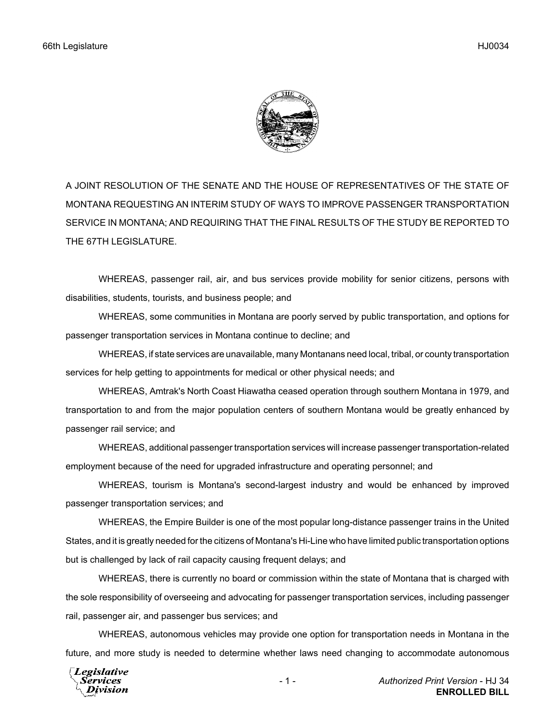

A JOINT RESOLUTION OF THE SENATE AND THE HOUSE OF REPRESENTATIVES OF THE STATE OF MONTANA REQUESTING AN INTERIM STUDY OF WAYS TO IMPROVE PASSENGER TRANSPORTATION SERVICE IN MONTANA; AND REQUIRING THAT THE FINAL RESULTS OF THE STUDY BE REPORTED TO THE 67TH LEGISLATURE.

WHEREAS, passenger rail, air, and bus services provide mobility for senior citizens, persons with disabilities, students, tourists, and business people; and

WHEREAS, some communities in Montana are poorly served by public transportation, and options for passenger transportation services in Montana continue to decline; and

WHEREAS, if state services are unavailable, many Montanans need local, tribal, or county transportation services for help getting to appointments for medical or other physical needs; and

WHEREAS, Amtrak's North Coast Hiawatha ceased operation through southern Montana in 1979, and transportation to and from the major population centers of southern Montana would be greatly enhanced by passenger rail service; and

WHEREAS, additional passenger transportation services will increase passenger transportation-related employment because of the need for upgraded infrastructure and operating personnel; and

WHEREAS, tourism is Montana's second-largest industry and would be enhanced by improved passenger transportation services; and

WHEREAS, the Empire Builder is one of the most popular long-distance passenger trains in the United States, and it is greatly needed for the citizens of Montana's Hi-Line who have limited public transportation options but is challenged by lack of rail capacity causing frequent delays; and

WHEREAS, there is currently no board or commission within the state of Montana that is charged with the sole responsibility of overseeing and advocating for passenger transportation services, including passenger rail, passenger air, and passenger bus services; and

WHEREAS, autonomous vehicles may provide one option for transportation needs in Montana in the future, and more study is needed to determine whether laws need changing to accommodate autonomous

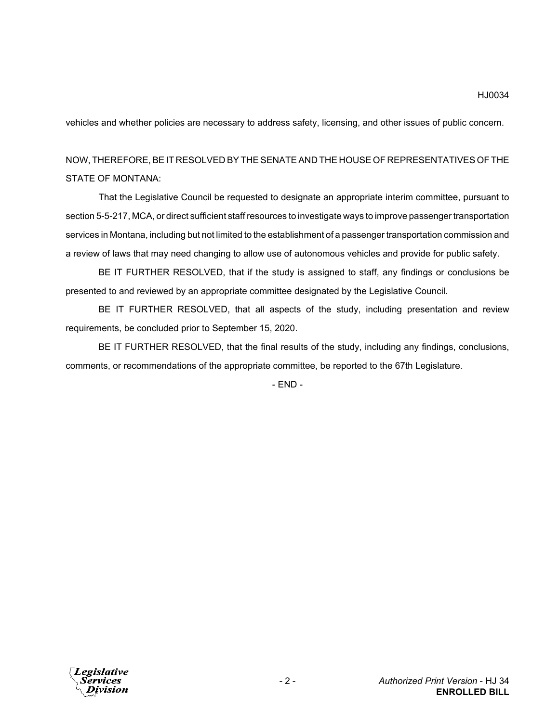vehicles and whether policies are necessary to address safety, licensing, and other issues of public concern.

## NOW, THEREFORE, BE IT RESOLVED BY THE SENATE AND THE HOUSE OF REPRESENTATIVES OF THE STATE OF MONTANA:

That the Legislative Council be requested to designate an appropriate interim committee, pursuant to section 5-5-217, MCA, or direct sufficient staff resources to investigate ways to improve passenger transportation services in Montana, including but not limited to the establishment of a passenger transportation commission and a review of laws that may need changing to allow use of autonomous vehicles and provide for public safety.

BE IT FURTHER RESOLVED, that if the study is assigned to staff, any findings or conclusions be presented to and reviewed by an appropriate committee designated by the Legislative Council.

BE IT FURTHER RESOLVED, that all aspects of the study, including presentation and review requirements, be concluded prior to September 15, 2020.

BE IT FURTHER RESOLVED, that the final results of the study, including any findings, conclusions, comments, or recommendations of the appropriate committee, be reported to the 67th Legislature.

- END -

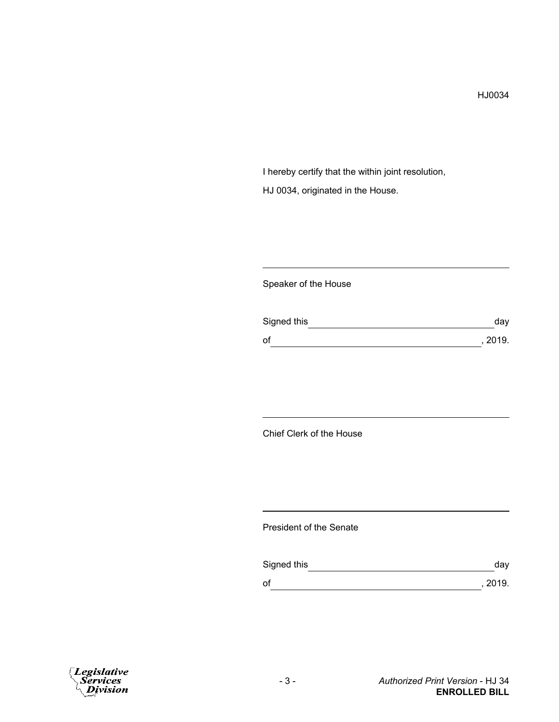I hereby certify that the within joint resolution, HJ 0034, originated in the House.

### Speaker of the House

| Signed this | day     |
|-------------|---------|
| of          | , 2019. |

## Chief Clerk of the House

#### President of the Senate

| Signed this | day     |
|-------------|---------|
| of          | , 2019. |